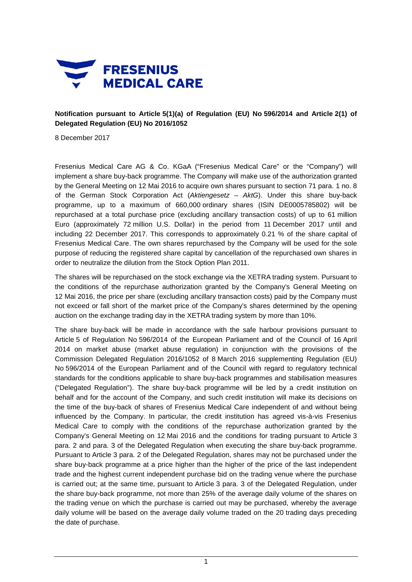

**Notification pursuant to Article 5(1)(a) of Regulation (EU) No 596/2014 and Article 2(1) of Delegated Regulation (EU) No 2016/1052**

8 December 2017

Fresenius Medical Care AG & Co. KGaA ("Fresenius Medical Care" or the "Company") will implement a share buy-back programme. The Company will make use of the authorization granted by the General Meeting on 12 Mai 2016 to acquire own shares pursuant to section 71 para. 1 no. 8 of the German Stock Corporation Act (*Aktiengesetz – AktG*). Under this share buy-back programme, up to a maximum of 660,000 ordinary shares (ISIN DE0005785802) will be repurchased at a total purchase price (excluding ancillary transaction costs) of up to 61 million Euro (approximately 72 million U.S. Dollar) in the period from 11 December 2017 until and including 22 December 2017. This corresponds to approximately 0.21 % of the share capital of Fresenius Medical Care. The own shares repurchased by the Company will be used for the sole purpose of reducing the registered share capital by cancellation of the repurchased own shares in order to neutralize the dilution from the Stock Option Plan 2011.

The shares will be repurchased on the stock exchange via the XETRA trading system. Pursuant to the conditions of the repurchase authorization granted by the Company's General Meeting on 12 Mai 2016, the price per share (excluding ancillary transaction costs) paid by the Company must not exceed or fall short of the market price of the Company's shares determined by the opening auction on the exchange trading day in the XETRA trading system by more than 10%.

The share buy-back will be made in accordance with the safe harbour provisions pursuant to Article 5 of Regulation No 596/2014 of the European Parliament and of the Council of 16 April 2014 on market abuse (market abuse regulation) in conjunction with the provisions of the Commission Delegated Regulation 2016/1052 of 8 March 2016 supplementing Regulation (EU) No 596/2014 of the European Parliament and of the Council with regard to regulatory technical standards for the conditions applicable to share buy-back programmes and stabilisation measures ("Delegated Regulation"). The share buy-back programme will be led by a credit institution on behalf and for the account of the Company, and such credit institution will make its decisions on the time of the buy-back of shares of Fresenius Medical Care independent of and without being influenced by the Company. In particular, the credit institution has agreed vis-à-vis Fresenius Medical Care to comply with the conditions of the repurchase authorization granted by the Company's General Meeting on 12 Mai 2016 and the conditions for trading pursuant to Article 3 para. 2 and para. 3 of the Delegated Regulation when executing the share buy-back programme. Pursuant to Article 3 para. 2 of the Delegated Regulation, shares may not be purchased under the share buy-back programme at a price higher than the higher of the price of the last independent trade and the highest current independent purchase bid on the trading venue where the purchase is carried out; at the same time, pursuant to Article 3 para. 3 of the Delegated Regulation, under the share buy-back programme, not more than 25% of the average daily volume of the shares on the trading venue on which the purchase is carried out may be purchased, whereby the average daily volume will be based on the average daily volume traded on the 20 trading days preceding the date of purchase.